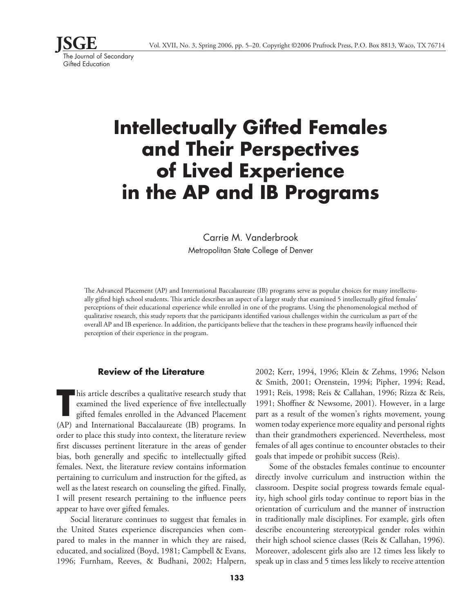

# **Intellectually Gifted Females and Their Perspectives of Lived Experience in the AP and IB Programs**

# Carrie M. Vanderbrook Metropolitan State College of Denver

The Advanced Placement (AP) and International Baccalaureate (IB) programs serve as popular choices for many intellectually gifted high school students. This article describes an aspect of a larger study that examined 5 intellectually gifted females' perceptions of their educational experience while enrolled in one of the programs. Using the phenomenological method of qualitative research, this study reports that the participants identified various challenges within the curriculum as part of the overall AP and IB experience. In addition, the participants believe that the teachers in these programs heavily influenced their perception of their experience in the program.

## **Review of the Literature**

**T** his article describes a qualitative research study that examined the lived experience of five intellectually gifted females enrolled in the Advanced Placement (AP) and International Baccalaureate (IB) programs. In order to place this study into context, the literature review first discusses pertinent literature in the areas of gender bias, both generally and specific to intellectually gifted females. Next, the literature review contains information pertaining to curriculum and instruction for the gifted, as well as the latest research on counseling the gifted. Finally, I will present research pertaining to the influence peers appear to have over gifted females.

Social literature continues to suggest that females in the United States experience discrepancies when compared to males in the manner in which they are raised, educated, and socialized (Boyd, 1981; Campbell & Evans, 1996; Furnham, Reeves, & Budhani, 2002; Halpern,

2002; Kerr, 1994, 1996; Klein & Zehms, 1996; Nelson & Smith, 2001; Orenstein, 1994; Pipher, 1994; Read, 1991; Reis, 1998; Reis & Callahan, 1996; Rizza & Reis, 1991; Shoffner & Newsome, 2001). However, in a large part as a result of the women's rights movement, young women today experience more equality and personal rights than their grandmothers experienced. Nevertheless, most females of all ages continue to encounter obstacles to their goals that impede or prohibit success (Reis).

Some of the obstacles females continue to encounter directly involve curriculum and instruction within the classroom. Despite social progress towards female equality, high school girls today continue to report bias in the orientation of curriculum and the manner of instruction in traditionally male disciplines. For example, girls often describe encountering stereotypical gender roles within their high school science classes (Reis & Callahan, 1996). Moreover, adolescent girls also are 12 times less likely to speak up in class and 5 times less likely to receive attention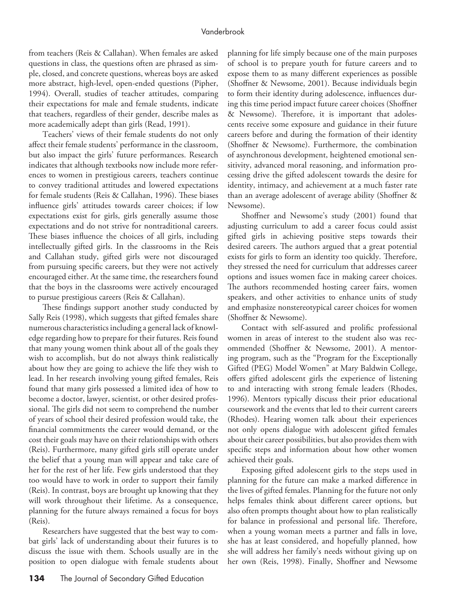from teachers (Reis & Callahan). When females are asked questions in class, the questions often are phrased as simple, closed, and concrete questions, whereas boys are asked more abstract, high-level, open-ended questions (Pipher, 1994). Overall, studies of teacher attitudes, comparing their expectations for male and female students, indicate that teachers, regardless of their gender, describe males as more academically adept than girls (Read, 1991).

Teachers' views of their female students do not only affect their female students' performance in the classroom, but also impact the girls' future performances. Research indicates that although textbooks now include more references to women in prestigious careers, teachers continue to convey traditional attitudes and lowered expectations for female students (Reis & Callahan, 1996). These biases influence girls' attitudes towards career choices; if low expectations exist for girls, girls generally assume those expectations and do not strive for nontraditional careers. These biases influence the choices of all girls, including intellectually gifted girls. In the classrooms in the Reis and Callahan study, gifted girls were not discouraged from pursuing specific careers, but they were not actively encouraged either. At the same time, the researchers found that the boys in the classrooms were actively encouraged to pursue prestigious careers (Reis & Callahan).

These findings support another study conducted by Sally Reis (1998), which suggests that gifted females share numerous characteristics including a general lack of knowledge regarding how to prepare for their futures. Reis found that many young women think about all of the goals they wish to accomplish, but do not always think realistically about how they are going to achieve the life they wish to lead. In her research involving young gifted females, Reis found that many girls possessed a limited idea of how to become a doctor, lawyer, scientist, or other desired professional. The girls did not seem to comprehend the number of years of school their desired profession would take, the financial commitments the career would demand, or the cost their goals may have on their relationships with others (Reis). Furthermore, many gifted girls still operate under the belief that a young man will appear and take care of her for the rest of her life. Few girls understood that they too would have to work in order to support their family (Reis). In contrast, boys are brought up knowing that they will work throughout their lifetime. As a consequence, planning for the future always remained a focus for boys (Reis).

Researchers have suggested that the best way to combat girls' lack of understanding about their futures is to discuss the issue with them. Schools usually are in the position to open dialogue with female students about

planning for life simply because one of the main purposes of school is to prepare youth for future careers and to expose them to as many different experiences as possible (Shoffner & Newsome, 2001). Because individuals begin to form their identity during adolescence, influences during this time period impact future career choices (Shoffner & Newsome). Therefore, it is important that adolescents receive some exposure and guidance in their future careers before and during the formation of their identity (Shoffner & Newsome). Furthermore, the combination of asynchronous development, heightened emotional sensitivity, advanced moral reasoning, and information processing drive the gifted adolescent towards the desire for identity, intimacy, and achievement at a much faster rate than an average adolescent of average ability (Shoffner & Newsome).

Shoffner and Newsome's study (2001) found that adjusting curriculum to add a career focus could assist gifted girls in achieving positive steps towards their desired careers. The authors argued that a great potential exists for girls to form an identity too quickly. Therefore, they stressed the need for curriculum that addresses career options and issues women face in making career choices. The authors recommended hosting career fairs, women speakers, and other activities to enhance units of study and emphasize nonstereotypical career choices for women (Shoffner & Newsome).

Contact with self-assured and prolific professional women in areas of interest to the student also was recommended (Shoffner & Newsome, 2001). A mentoring program, such as the "Program for the Exceptionally Gifted (PEG) Model Women" at Mary Baldwin College, offers gifted adolescent girls the experience of listening to and interacting with strong female leaders (Rhodes, 1996). Mentors typically discuss their prior educational coursework and the events that led to their current careers (Rhodes). Hearing women talk about their experiences not only opens dialogue with adolescent gifted females about their career possibilities, but also provides them with specific steps and information about how other women achieved their goals.

Exposing gifted adolescent girls to the steps used in planning for the future can make a marked difference in the lives of gifted females. Planning for the future not only helps females think about different career options, but also often prompts thought about how to plan realistically for balance in professional and personal life. Therefore, when a young woman meets a partner and falls in love, she has at least considered, and hopefully planned, how she will address her family's needs without giving up on her own (Reis, 1998). Finally, Shoffner and Newsome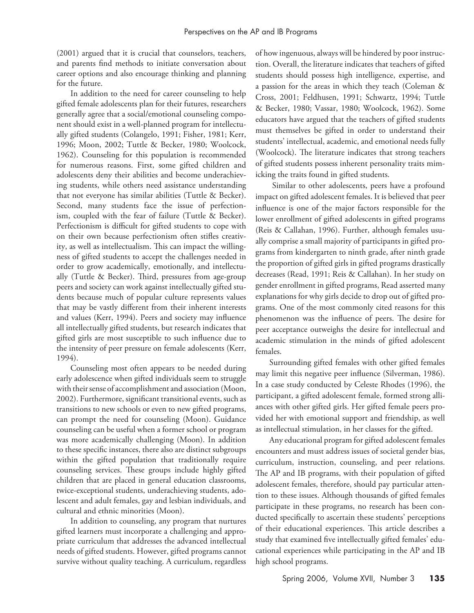(2001) argued that it is crucial that counselors, teachers, and parents find methods to initiate conversation about career options and also encourage thinking and planning for the future.

In addition to the need for career counseling to help gifted female adolescents plan for their futures, researchers generally agree that a social/emotional counseling component should exist in a well-planned program for intellectually gifted students (Colangelo, 1991; Fisher, 1981; Kerr, 1996; Moon, 2002; Tuttle & Becker, 1980; Woolcock, 1962). Counseling for this population is recommended for numerous reasons. First, some gifted children and adolescents deny their abilities and become underachieving students, while others need assistance understanding that not everyone has similar abilities (Tuttle & Becker). Second, many students face the issue of perfectionism, coupled with the fear of failure (Tuttle & Becker). Perfectionism is difficult for gifted students to cope with on their own because perfectionism often stifles creativity, as well as intellectualism. This can impact the willingness of gifted students to accept the challenges needed in order to grow academically, emotionally, and intellectually (Tuttle & Becker). Third, pressures from age-group peers and society can work against intellectually gifted students because much of popular culture represents values that may be vastly different from their inherent interests and values (Kerr, 1994). Peers and society may influence all intellectually gifted students, but research indicates that gifted girls are most susceptible to such influence due to the intensity of peer pressure on female adolescents (Kerr, 1994).

Counseling most often appears to be needed during early adolescence when gifted individuals seem to struggle with their sense of accomplishment and association (Moon, 2002). Furthermore, significant transitional events, such as transitions to new schools or even to new gifted programs, can prompt the need for counseling (Moon). Guidance counseling can be useful when a former school or program was more academically challenging (Moon). In addition to these specific instances, there also are distinct subgroups within the gifted population that traditionally require counseling services. These groups include highly gifted children that are placed in general education classrooms, twice-exceptional students, underachieving students, adolescent and adult females, gay and lesbian individuals, and cultural and ethnic minorities (Moon).

In addition to counseling, any program that nurtures gifted learners must incorporate a challenging and appropriate curriculum that addresses the advanced intellectual needs of gifted students. However, gifted programs cannot survive without quality teaching. A curriculum, regardless

of how ingenuous, always will be hindered by poor instruction. Overall, the literature indicates that teachers of gifted students should possess high intelligence, expertise, and a passion for the areas in which they teach (Coleman & Cross, 2001; Feldhusen, 1991; Schwartz, 1994; Tuttle & Becker, 1980; Vassar, 1980; Woolcock, 1962). Some educators have argued that the teachers of gifted students must themselves be gifted in order to understand their students' intellectual, academic, and emotional needs fully (Woolcock). The literature indicates that strong teachers of gifted students possess inherent personality traits mimicking the traits found in gifted students.

 Similar to other adolescents, peers have a profound impact on gifted adolescent females. It is believed that peer influence is one of the major factors responsible for the lower enrollment of gifted adolescents in gifted programs (Reis & Callahan, 1996). Further, although females usually comprise a small majority of participants in gifted programs from kindergarten to ninth grade, after ninth grade the proportion of gifted girls in gifted programs drastically decreases (Read, 1991; Reis & Callahan). In her study on gender enrollment in gifted programs, Read asserted many explanations for why girls decide to drop out of gifted programs. One of the most commonly cited reasons for this phenomenon was the influence of peers. The desire for peer acceptance outweighs the desire for intellectual and academic stimulation in the minds of gifted adolescent females.

Surrounding gifted females with other gifted females may limit this negative peer influence (Silverman, 1986). In a case study conducted by Celeste Rhodes (1996), the participant, a gifted adolescent female, formed strong alliances with other gifted girls. Her gifted female peers provided her with emotional support and friendship, as well as intellectual stimulation, in her classes for the gifted.

Any educational program for gifted adolescent females encounters and must address issues of societal gender bias, curriculum, instruction, counseling, and peer relations. The AP and IB programs, with their population of gifted adolescent females, therefore, should pay particular attention to these issues. Although thousands of gifted females participate in these programs, no research has been conducted specifically to ascertain these students' perceptions of their educational experiences. This article describes a study that examined five intellectually gifted females' educational experiences while participating in the AP and IB high school programs.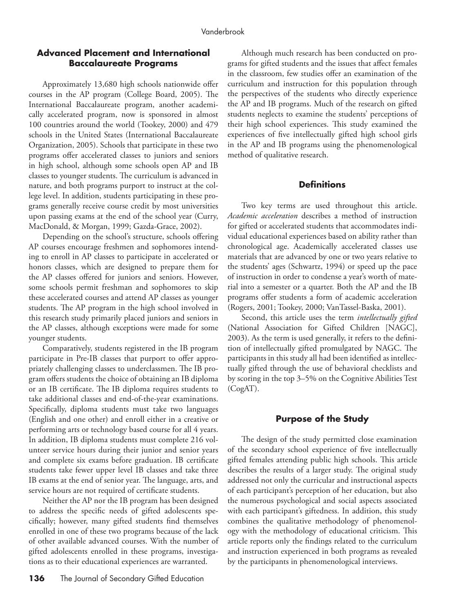# **Advanced Placement and International Baccalaureate Programs**

Approximately 13,680 high schools nationwide offer courses in the AP program (College Board, 2005). The International Baccalaureate program, another academically accelerated program, now is sponsored in almost 100 countries around the world (Tookey, 2000) and 479 schools in the United States (International Baccalaureate Organization, 2005). Schools that participate in these two programs offer accelerated classes to juniors and seniors in high school, although some schools open AP and IB classes to younger students. The curriculum is advanced in nature, and both programs purport to instruct at the college level. In addition, students participating in these programs generally receive course credit by most universities upon passing exams at the end of the school year (Curry, MacDonald, & Morgan, 1999; Gazda-Grace, 2002).

Depending on the school's structure, schools offering AP courses encourage freshmen and sophomores intending to enroll in AP classes to participate in accelerated or honors classes, which are designed to prepare them for the AP classes offered for juniors and seniors. However, some schools permit freshman and sophomores to skip these accelerated courses and attend AP classes as younger students. The AP program in the high school involved in this research study primarily placed juniors and seniors in the AP classes, although exceptions were made for some younger students.

Comparatively, students registered in the IB program participate in Pre-IB classes that purport to offer appropriately challenging classes to underclassmen. The IB program offers students the choice of obtaining an IB diploma or an IB certificate. The IB diploma requires students to take additional classes and end-of-the-year examinations. Specifically, diploma students must take two languages (English and one other) and enroll either in a creative or performing arts or technology based course for all 4 years. In addition, IB diploma students must complete 216 volunteer service hours during their junior and senior years and complete six exams before graduation. IB certificate students take fewer upper level IB classes and take three IB exams at the end of senior year. The language, arts, and service hours are not required of certificate students.

Neither the AP nor the IB program has been designed to address the specific needs of gifted adolescents specifically; however, many gifted students find themselves enrolled in one of these two programs because of the lack of other available advanced courses. With the number of gifted adolescents enrolled in these programs, investigations as to their educational experiences are warranted.

Although much research has been conducted on programs for gifted students and the issues that affect females in the classroom, few studies offer an examination of the curriculum and instruction for this population through the perspectives of the students who directly experience the AP and IB programs. Much of the research on gifted students neglects to examine the students' perceptions of their high school experiences. This study examined the experiences of five intellectually gifted high school girls in the AP and IB programs using the phenomenological method of qualitative research.

# **Definitions**

Two key terms are used throughout this article. *Academic acceleration* describes a method of instruction for gifted or accelerated students that accommodates individual educational experiences based on ability rather than chronological age. Academically accelerated classes use materials that are advanced by one or two years relative to the students' ages (Schwartz, 1994) or speed up the pace of instruction in order to condense a year's worth of material into a semester or a quarter. Both the AP and the IB programs offer students a form of academic acceleration (Rogers, 2001; Tookey, 2000; VanTassel-Baska, 2001).

Second, this article uses the term *intellectually gifted* (National Association for Gifted Children [NAGC], 2003). As the term is used generally, it refers to the definition of intellectually gifted promulgated by NAGC. The participants in this study all had been identified as intellectually gifted through the use of behavioral checklists and by scoring in the top 3–5% on the Cognitive Abilities Test (CogAT).

# **Purpose of the Study**

The design of the study permitted close examination of the secondary school experience of five intellectually gifted females attending public high schools. This article describes the results of a larger study. The original study addressed not only the curricular and instructional aspects of each participant's perception of her education, but also the numerous psychological and social aspects associated with each participant's giftedness. In addition, this study combines the qualitative methodology of phenomenology with the methodology of educational criticism. This article reports only the findings related to the curriculum and instruction experienced in both programs as revealed by the participants in phenomenological interviews.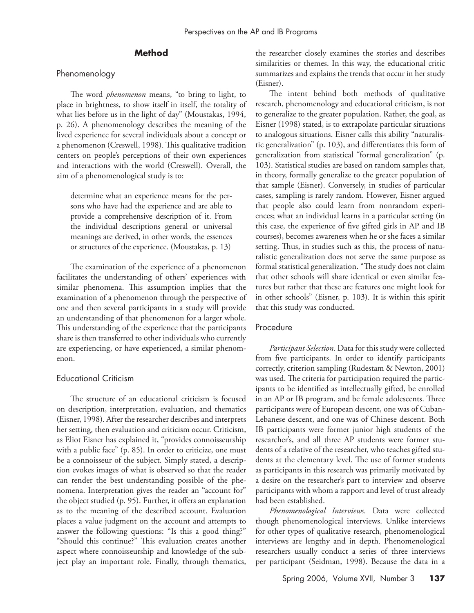# **Method**

#### Phenomenology

The word *phenomenon* means, "to bring to light, to place in brightness, to show itself in itself, the totality of what lies before us in the light of day" (Moustakas, 1994, p. 26). A phenomenology describes the meaning of the lived experience for several individuals about a concept or a phenomenon (Creswell, 1998). This qualitative tradition centers on people's perceptions of their own experiences and interactions with the world (Creswell). Overall, the aim of a phenomenological study is to:

determine what an experience means for the persons who have had the experience and are able to provide a comprehensive description of it. From the individual descriptions general or universal meanings are derived, in other words, the essences or structures of the experience. (Moustakas, p. 13)

The examination of the experience of a phenomenon facilitates the understanding of others' experiences with similar phenomena. This assumption implies that the examination of a phenomenon through the perspective of one and then several participants in a study will provide an understanding of that phenomenon for a larger whole. This understanding of the experience that the participants share is then transferred to other individuals who currently are experiencing, or have experienced, a similar phenomenon.

#### Educational Criticism

The structure of an educational criticism is focused on description, interpretation, evaluation, and thematics (Eisner, 1998). After the researcher describes and interprets her setting, then evaluation and criticism occur. Criticism, as Eliot Eisner has explained it, "provides connoisseurship with a public face" (p. 85). In order to criticize, one must be a connoisseur of the subject. Simply stated, a description evokes images of what is observed so that the reader can render the best understanding possible of the phenomena. Interpretation gives the reader an "account for" the object studied (p. 95). Further, it offers an explanation as to the meaning of the described account. Evaluation places a value judgment on the account and attempts to answer the following questions: "Is this a good thing?" "Should this continue?" This evaluation creates another aspect where connoisseurship and knowledge of the subject play an important role. Finally, through thematics, the researcher closely examines the stories and describes similarities or themes. In this way, the educational critic summarizes and explains the trends that occur in her study (Eisner).

The intent behind both methods of qualitative research, phenomenology and educational criticism, is not to generalize to the greater population. Rather, the goal, as Eisner (1998) stated, is to extrapolate particular situations to analogous situations. Eisner calls this ability "naturalistic generalization" (p. 103), and differentiates this form of generalization from statistical "formal generalization" (p. 103). Statistical studies are based on random samples that, in theory, formally generalize to the greater population of that sample (Eisner). Conversely, in studies of particular cases, sampling is rarely random. However, Eisner argued that people also could learn from nonrandom experiences; what an individual learns in a particular setting (in this case, the experience of five gifted girls in AP and IB courses), becomes awareness when he or she faces a similar setting. Thus, in studies such as this, the process of naturalistic generalization does not serve the same purpose as formal statistical generalization. "The study does not claim that other schools will share identical or even similar features but rather that these are features one might look for in other schools" (Eisner, p. 103). It is within this spirit that this study was conducted.

# Procedure

*Participant Selection.* Data for this study were collected from five participants. In order to identify participants correctly, criterion sampling (Rudestam & Newton, 2001) was used. The criteria for participation required the participants to be identified as intellectually gifted, be enrolled in an AP or IB program, and be female adolescents. Three participants were of European descent, one was of Cuban-Lebanese descent, and one was of Chinese descent. Both IB participants were former junior high students of the researcher's, and all three AP students were former students of a relative of the researcher, who teaches gifted students at the elementary level. The use of former students as participants in this research was primarily motivated by a desire on the researcher's part to interview and observe participants with whom a rapport and level of trust already had been established.

*Phenomenological Interviews.* Data were collected though phenomenological interviews. Unlike interviews for other types of qualitative research, phenomenological interviews are lengthy and in depth. Phenomenological researchers usually conduct a series of three interviews per participant (Seidman, 1998). Because the data in a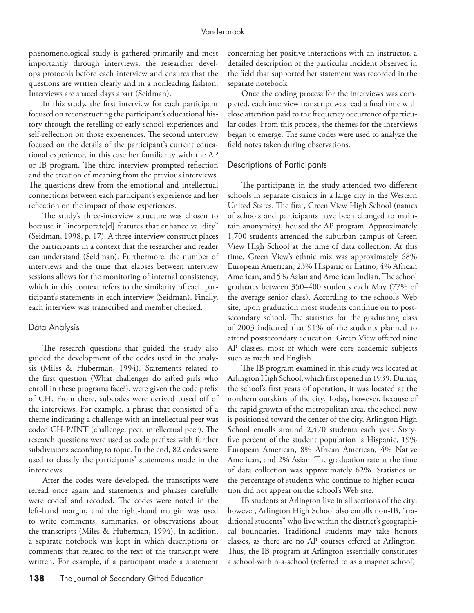phenomenological study is gathered primarily and most importantly through interviews, the researcher develops protocols before each interview and ensures that the questions are written clearly and in a nonleading fashion. Interviews are spaced days apart (Seidman).

In this study, the first interview for each participant focused on reconstructing the participant's educational history through the retelling of early school experiences and self-reflection on those experiences. The second interview focused on the details of the participant's current educational experience, in this case her familiarity with the AP or IB program. The third interview prompted reflection and the creation of meaning from the previous interviews. The questions drew from the emotional and intellectual connections between each participant's experience and her reflection on the impact of those experiences.

The study's three-interview structure was chosen to because it "incorporate[d] features that enhance validity" (Seidman, 1998, p. 17). A three-interview construct places the participants in a context that the researcher and reader can understand (Seidman). Furthermore, the number of interviews and the time that elapses between interview sessions allows for the monitoring of internal consistency, which in this context refers to the similarity of each participant's statements in each interview (Seidman). Finally, each interview was transcribed and member checked.

#### Data Analysis

The research questions that guided the study also guided the development of the codes used in the analysis (Miles & Huberman, 1994). Statements related to the first question (What challenges do gifted girls who enroll in these programs face?), were given the code prefix of CH. From there, subcodes were derived based off of the interviews. For example, a phrase that consisted of a theme indicating a challenge with an intellectual peer was coded CH-P/INT (challenge, peer, intellectual peer). The research questions were used as code prefixes with further subdivisions according to topic. In the end, 82 codes were used to classify the participants' statements made in the interviews.

After the codes were developed, the transcripts were reread once again and statements and phrases carefully were coded and recoded. The codes were noted in the left-hand margin, and the right-hand margin was used to write comments, summaries, or observations about the transcripts (Miles & Huberman, 1994). In addition, a separate notebook was kept in which descriptions or comments that related to the text of the transcript were written. For example, if a participant made a statement

138 The Journal of Secondary Gifted Education

concerning her positive interactions with an instructor, a detailed description of the particular incident observed in the field that supported her statement was recorded in the separate notebook.

Once the coding process for the interviews was completed, each interview transcript was read a final time with close attention paid to the frequency occurrence of particular codes. From this process, the themes for the interviews began to emerge. The same codes were used to analyze the field notes taken during observations.

#### Descriptions of Participants

The participants in the study attended two different schools in separate districts in a large city in the Western United States. The first, Green View High School (names of schools and participants have been changed to maintain anonymity), housed the AP program. Approximately 1,700 students attended the suburban campus of Green View High School at the time of data collection. At this time, Green View's ethnic mix was approximately 68% European American, 23% Hispanic or Latino, 4% African American, and 5% Asian and American Indian. The school graduates between 350–400 students each May (77% of the average senior class). According to the school's Web site, upon graduation most students continue on to postsecondary school. The statistics for the graduating class of 2003 indicated that 91% of the students planned to attend postsecondary education. Green View offered nine AP classes, most of which were core academic subjects such as math and English.

The IB program examined in this study was located at Arlington High School, which first opened in 1939. During the school's first years of operation, it was located at the northern outskirts of the city. Today, however, because of the rapid growth of the metropolitan area, the school now is positioned toward the center of the city. Arlington High School enrolls around 2,470 students each year. Sixtyfive percent of the student population is Hispanic, 19% European American, 8% African American, 4% Native American, and 2% Asian. The graduation rate at the time of data collection was approximately 62%. Statistics on the percentage of students who continue to higher education did not appear on the school's Web site.

IB students at Arlington live in all sections of the city; however, Arlington High School also enrolls non-IB, "traditional students" who live within the district's geographical boundaries. Traditional students may take honors classes, as there are no AP courses offered at Arlington. Thus, the IB program at Arlington essentially constitutes a school-within-a-school (referred to as a magnet school).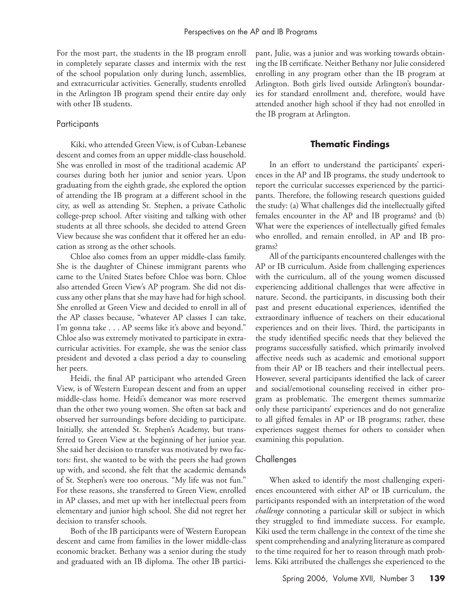For the most part, the students in the IB program enroll in completely separate classes and intermix with the rest of the school population only during lunch, assemblies, and extracurricular activities. Generally, students enrolled in the Arlington IB program spend their entire day only with other IB students.

#### Participants

Kiki, who attended Green View, is of Cuban-Lebanese descent and comes from an upper middle-class household. She was enrolled in most of the traditional academic AP courses during both her junior and senior years. Upon graduating from the eighth grade, she explored the option of attending the IB program at a different school in the city, as well as attending St. Stephen, a private Catholic college-prep school. After visiting and talking with other students at all three schools, she decided to attend Green View because she was confident that it offered her an education as strong as the other schools.

Chloe also comes from an upper middle-class family. She is the daughter of Chinese immigrant parents who came to the United States before Chloe was born. Chloe also attended Green View's AP program. She did not discuss any other plans that she may have had for high school. She enrolled at Green View and decided to enroll in all of the AP classes because, "whatever AP classes I can take, I'm gonna take . . . AP seems like it's above and beyond." Chloe also was extremely motivated to participate in extracurricular activities. For example, she was the senior class president and devoted a class period a day to counseling her peers.

Heidi, the final AP participant who attended Green View, is of Western European descent and from an upper middle-class home. Heidi's demeanor was more reserved than the other two young women. She often sat back and observed her surroundings before deciding to participate. Initially, she attended St. Stephen's Academy, but transferred to Green View at the beginning of her junior year. She said her decision to transfer was motivated by two factors: first, she wanted to be with the peers she had grown up with, and second, she felt that the academic demands of St. Stephen's were too onerous. "My life was not fun." For these reasons, she transferred to Green View, enrolled in AP classes, and met up with her intellectual peers from elementary and junior high school. She did not regret her decision to transfer schools.

Both of the IB participants were of Western European descent and came from families in the lower middle-class economic bracket. Bethany was a senior during the study and graduated with an IB diploma. The other IB participant, Julie, was a junior and was working towards obtaining the IB certificate. Neither Bethany nor Julie considered enrolling in any program other than the IB program at Arlington. Both girls lived outside Arlington's boundaries for standard enrollment and, therefore, would have attended another high school if they had not enrolled in the IB program at Arlington.

# **Thematic Findings**

In an effort to understand the participants' experiences in the AP and IB programs, the study undertook to report the curricular successes experienced by the participants. Therefore, the following research questions guided the study: (a) What challenges did the intellectually gifted females encounter in the AP and IB programs? and (b) What were the experiences of intellectually gifted females who enrolled, and remain enrolled, in AP and IB programs?

All of the participants encountered challenges with the AP or IB curriculum. Aside from challenging experiences with the curriculum, all of the young women discussed experiencing additional challenges that were affective in nature. Second, the participants, in discussing both their past and present educational experiences, identified the extraordinary influence of teachers on their educational experiences and on their lives. Third, the participants in the study identified specific needs that they believed the programs successfully satisfied, which primarily involved affective needs such as academic and emotional support from their AP or IB teachers and their intellectual peers. However, several participants identified the lack of career and social/emotional counseling received in either program as problematic. The emergent themes summarize only these participants' experiences and do not generalize to all gifted females in AP or IB programs; rather, these experiences suggest themes for others to consider when examining this population.

#### Challenges

When asked to identify the most challenging experiences encountered with either AP or IB curriculum, the participants responded with an interpretation of the word *challenge* connoting a particular skill or subject in which they struggled to find immediate success. For example, Kiki used the term challenge in the context of the time she spent comprehending and analyzing literature as compared to the time required for her to reason through math problems. Kiki attributed the challenges she experienced to the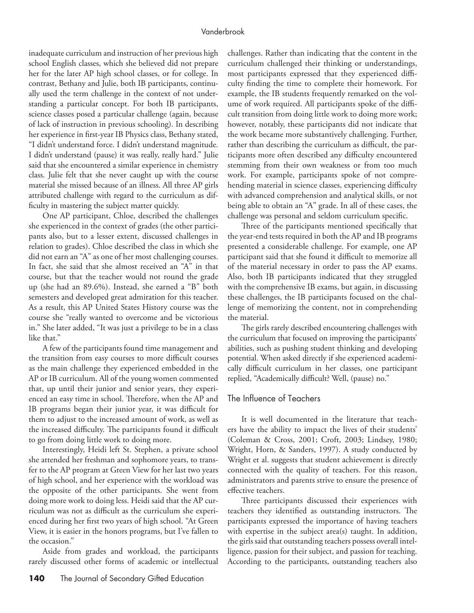inadequate curriculum and instruction of her previous high school English classes, which she believed did not prepare her for the later AP high school classes, or for college. In contrast, Bethany and Julie, both IB participants, continually used the term challenge in the context of not understanding a particular concept. For both IB participants, science classes posed a particular challenge (again, because of lack of instruction in previous schooling). In describing her experience in first-year IB Physics class, Bethany stated, "I didn't understand force. I didn't understand magnitude. I didn't understand (pause) it was really, really hard." Julie said that she encountered a similar experience in chemistry class. Julie felt that she never caught up with the course material she missed because of an illness. All three AP girls attributed challenge with regard to the curriculum as difficulty in mastering the subject matter quickly.

One AP participant, Chloe, described the challenges she experienced in the context of grades (the other participants also, but to a lesser extent, discussed challenges in relation to grades). Chloe described the class in which she did not earn an "A" as one of her most challenging courses. In fact, she said that she almost received an "A" in that course, but that the teacher would not round the grade up (she had an 89.6%). Instead, she earned a "B" both semesters and developed great admiration for this teacher. As a result, this AP United States History course was the course she "really wanted to overcome and be victorious in." She later added, "It was just a privilege to be in a class like that."

A few of the participants found time management and the transition from easy courses to more difficult courses as the main challenge they experienced embedded in the AP or IB curriculum. All of the young women commented that, up until their junior and senior years, they experienced an easy time in school. Therefore, when the AP and IB programs began their junior year, it was difficult for them to adjust to the increased amount of work, as well as the increased difficulty. The participants found it difficult to go from doing little work to doing more.

Interestingly, Heidi left St. Stephen, a private school she attended her freshman and sophomore years, to transfer to the AP program at Green View for her last two years of high school, and her experience with the workload was the opposite of the other participants. She went from doing more work to doing less. Heidi said that the AP curriculum was not as difficult as the curriculum she experienced during her first two years of high school. "At Green View, it is easier in the honors programs, but I've fallen to the occasion."

Aside from grades and workload, the participants rarely discussed other forms of academic or intellectual

challenges. Rather than indicating that the content in the curriculum challenged their thinking or understandings, most participants expressed that they experienced difficulty finding the time to complete their homework. For example, the IB students frequently remarked on the volume of work required. All participants spoke of the difficult transition from doing little work to doing more work; however, notably, these participants did not indicate that the work became more substantively challenging. Further, rather than describing the curriculum as difficult, the participants more often described any difficulty encountered stemming from their own weakness or from too much work. For example, participants spoke of not comprehending material in science classes, experiencing difficulty with advanced comprehension and analytical skills, or not being able to obtain an "A" grade. In all of these cases, the challenge was personal and seldom curriculum specific.

Three of the participants mentioned specifically that the year-end tests required in both the AP and IB programs presented a considerable challenge. For example, one AP participant said that she found it difficult to memorize all of the material necessary in order to pass the AP exams. Also, both IB participants indicated that they struggled with the comprehensive IB exams, but again, in discussing these challenges, the IB participants focused on the challenge of memorizing the content, not in comprehending the material.

The girls rarely described encountering challenges with the curriculum that focused on improving the participants' abilities, such as pushing student thinking and developing potential. When asked directly if she experienced academically difficult curriculum in her classes, one participant replied, "Academically difficult? Well, (pause) no."

#### The Influence of Teachers

It is well documented in the literature that teachers have the ability to impact the lives of their students' (Coleman & Cross, 2001; Croft, 2003; Lindsey, 1980; Wright, Horn, & Sanders, 1997). A study conducted by Wright et al. suggests that student achievement is directly connected with the quality of teachers. For this reason, administrators and parents strive to ensure the presence of effective teachers.

Three participants discussed their experiences with teachers they identified as outstanding instructors. The participants expressed the importance of having teachers with expertise in the subject area(s) taught. In addition, the girls said that outstanding teachers possess overall intelligence, passion for their subject, and passion for teaching. According to the participants, outstanding teachers also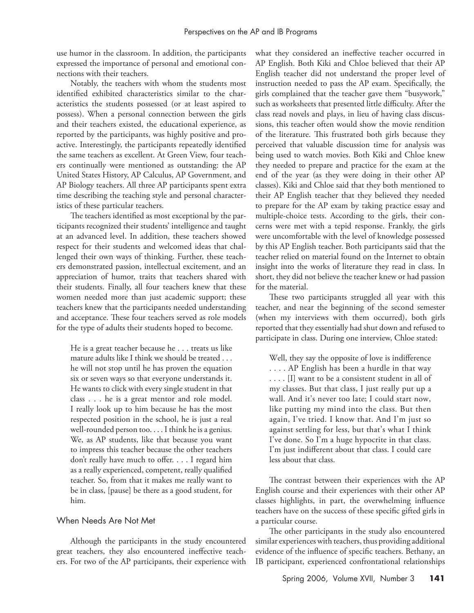use humor in the classroom. In addition, the participants expressed the importance of personal and emotional connections with their teachers.

Notably, the teachers with whom the students most identified exhibited characteristics similar to the characteristics the students possessed (or at least aspired to possess). When a personal connection between the girls and their teachers existed, the educational experience, as reported by the participants, was highly positive and proactive. Interestingly, the participants repeatedly identified the same teachers as excellent. At Green View, four teachers continually were mentioned as outstanding: the AP United States History, AP Calculus, AP Government, and AP Biology teachers. All three AP participants spent extra time describing the teaching style and personal characteristics of these particular teachers.

The teachers identified as most exceptional by the participants recognized their students' intelligence and taught at an advanced level. In addition, these teachers showed respect for their students and welcomed ideas that challenged their own ways of thinking. Further, these teachers demonstrated passion, intellectual excitement, and an appreciation of humor, traits that teachers shared with their students. Finally, all four teachers knew that these women needed more than just academic support; these teachers knew that the participants needed understanding and acceptance. These four teachers served as role models for the type of adults their students hoped to become.

He is a great teacher because he . . . treats us like mature adults like I think we should be treated . . . he will not stop until he has proven the equation six or seven ways so that everyone understands it. He wants to click with every single student in that class . . . he is a great mentor and role model. I really look up to him because he has the most respected position in the school, he is just a real well-rounded person too. . . . I think he is a genius. We, as AP students, like that because you want to impress this teacher because the other teachers don't really have much to offer. . . . I regard him as a really experienced, competent, really qualified teacher. So, from that it makes me really want to be in class, [pause] be there as a good student, for him.

# When Needs Are Not Met

Although the participants in the study encountered great teachers, they also encountered ineffective teachers. For two of the AP participants, their experience with

what they considered an ineffective teacher occurred in AP English. Both Kiki and Chloe believed that their AP English teacher did not understand the proper level of instruction needed to pass the AP exam. Specifically, the girls complained that the teacher gave them "busywork," such as worksheets that presented little difficulty. After the class read novels and plays, in lieu of having class discussions, this teacher often would show the movie rendition of the literature. This frustrated both girls because they perceived that valuable discussion time for analysis was being used to watch movies. Both Kiki and Chloe knew they needed to prepare and practice for the exam at the end of the year (as they were doing in their other AP classes). Kiki and Chloe said that they both mentioned to their AP English teacher that they believed they needed to prepare for the AP exam by taking practice essay and multiple-choice tests. According to the girls, their concerns were met with a tepid response. Frankly, the girls were uncomfortable with the level of knowledge possessed by this AP English teacher. Both participants said that the teacher relied on material found on the Internet to obtain insight into the works of literature they read in class. In short, they did not believe the teacher knew or had passion for the material.

These two participants struggled all year with this teacher, and near the beginning of the second semester (when my interviews with them occurred), both girls reported that they essentially had shut down and refused to participate in class. During one interview, Chloe stated:

Well, they say the opposite of love is indifference . . . . AP English has been a hurdle in that way . . . . [I] want to be a consistent student in all of my classes. But that class, I just really put up a wall. And it's never too late; I could start now, like putting my mind into the class. But then again, I've tried. I know that. And I'm just so against settling for less, but that's what I think I've done. So I'm a huge hypocrite in that class. I'm just indifferent about that class. I could care less about that class.

The contrast between their experiences with the AP English course and their experiences with their other AP classes highlights, in part, the overwhelming influence teachers have on the success of these specific gifted girls in a particular course.

The other participants in the study also encountered similar experiences with teachers, thus providing additional evidence of the influence of specific teachers. Bethany, an IB participant, experienced confrontational relationships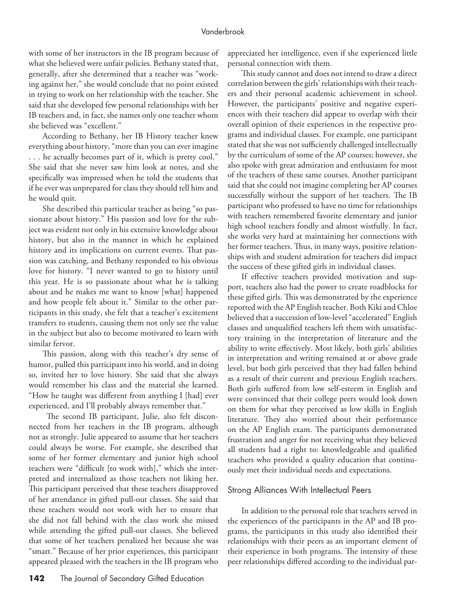with some of her instructors in the IB program because of what she believed were unfair policies. Bethany stated that, generally, after she determined that a teacher was "working against her," she would conclude that no point existed in trying to work on her relationship with the teacher. She said that she developed few personal relationships with her IB teachers and, in fact, she names only one teacher whom she believed was "excellent."

According to Bethany, her IB History teacher knew everything about history, "more than you can ever imagine . . . he actually becomes part of it, which is pretty cool." She said that she never saw him look at notes, and she specifically was impressed when he told the students that if he ever was unprepared for class they should tell him and he would quit.

She described this particular teacher as being "so passionate about history." His passion and love for the subject was evident not only in his extensive knowledge about history, but also in the manner in which he explained history and its implications on current events. That passion was catching, and Bethany responded to his obvious love for history. "I never wanted to go to history until this year. He is so passionate about what he is talking about and he makes me want to know [what] happened and how people felt about it." Similar to the other participants in this study, she felt that a teacher's excitement transfers to students, causing them not only see the value in the subject but also to become motivated to learn with similar fervor.

This passion, along with this teacher's dry sense of humor, pulled this participant into his world, and in doing so, invited her to love history. She said that she always would remember his class and the material she learned. "How he taught was different from anything I [had] ever experienced, and I'll probably always remember that."

 The second IB participant, Julie, also felt disconnected from her teachers in the IB program, although not as strongly. Julie appeared to assume that her teachers could always be worse. For example, she described that some of her former elementary and junior high school teachers were "difficult [to work with]," which she interpreted and internalized as those teachers not liking her. This participant perceived that these teachers disapproved of her attendance in gifted pull-out classes. She said that these teachers would not work with her to ensure that she did not fall behind with the class work she missed while attending the gifted pull-out classes. She believed that some of her teachers penalized her because she was "smart." Because of her prior experiences, this participant appeared pleased with the teachers in the IB program who

142 The Journal of Secondary Gifted Education

appreciated her intelligence, even if she experienced little personal connection with them.

This study cannot and does not intend to draw a direct correlation between the girls' relationships with their teachers and their personal academic achievement in school. However, the participants' positive and negative experiences with their teachers did appear to overlap with their overall opinion of their experiences in the respective programs and individual classes. For example, one participant stated that she was not sufficiently challenged intellectually by the curriculum of some of the AP courses; however, she also spoke with great admiration and enthusiasm for most of the teachers of these same courses. Another participant said that she could not imagine completing her AP courses successfully without the support of her teachers. The IB participant who professed to have no time for relationships with teachers remembered favorite elementary and junior high school teachers fondly and almost wistfully. In fact, she works very hard at maintaining her connections with her former teachers. Thus, in many ways, positive relationships with and student admiration for teachers did impact the success of these gifted girls in individual classes.

If effective teachers provided motivation and support, teachers also had the power to create roadblocks for these gifted girls. This was demonstrated by the experience reported with the AP English teacher. Both Kiki and Chloe believed that a succession of low-level "accelerated" English classes and unqualified teachers left them with unsatisfactory training in the interpretation of literature and the ability to write effectively. Most likely, both girls' abilities in interpretation and writing remained at or above grade level, but both girls perceived that they had fallen behind as a result of their current and previous English teachers. Both girls suffered from low self-esteem in English and were convinced that their college peers would look down on them for what they perceived as low skills in English literature. They also worried about their performance on the AP English exam. The participants demonstrated frustration and anger for not receiving what they believed all students had a right to: knowledgeable and qualified teachers who provided a quality education that continuously met their individual needs and expectations.

#### Strong Alliances With Intellectual Peers

In addition to the personal role that teachers served in the experiences of the participants in the AP and IB programs, the participants in this study also identified their relationships with their peers as an important element of their experience in both programs. The intensity of these peer relationships differed according to the individual par-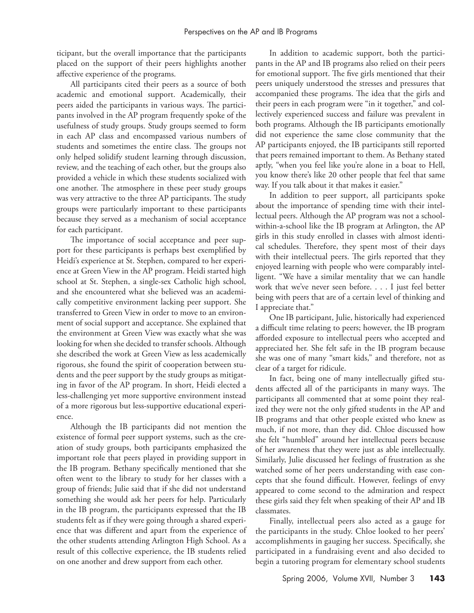ticipant, but the overall importance that the participants placed on the support of their peers highlights another affective experience of the programs.

All participants cited their peers as a source of both academic and emotional support. Academically, their peers aided the participants in various ways. The participants involved in the AP program frequently spoke of the usefulness of study groups. Study groups seemed to form in each AP class and encompassed various numbers of students and sometimes the entire class. The groups not only helped solidify student learning through discussion, review, and the teaching of each other, but the groups also provided a vehicle in which these students socialized with one another. The atmosphere in these peer study groups was very attractive to the three AP participants. The study groups were particularly important to these participants because they served as a mechanism of social acceptance for each participant.

The importance of social acceptance and peer support for these participants is perhaps best exemplified by Heidi's experience at St. Stephen, compared to her experience at Green View in the AP program. Heidi started high school at St. Stephen, a single-sex Catholic high school, and she encountered what she believed was an academically competitive environment lacking peer support. She transferred to Green View in order to move to an environment of social support and acceptance. She explained that the environment at Green View was exactly what she was looking for when she decided to transfer schools. Although she described the work at Green View as less academically rigorous, she found the spirit of cooperation between students and the peer support by the study groups as mitigating in favor of the AP program. In short, Heidi elected a less-challenging yet more supportive environment instead of a more rigorous but less-supportive educational experience.

Although the IB participants did not mention the existence of formal peer support systems, such as the creation of study groups, both participants emphasized the important role that peers played in providing support in the IB program. Bethany specifically mentioned that she often went to the library to study for her classes with a group of friends; Julie said that if she did not understand something she would ask her peers for help. Particularly in the IB program, the participants expressed that the IB students felt as if they were going through a shared experience that was different and apart from the experience of the other students attending Arlington High School. As a result of this collective experience, the IB students relied on one another and drew support from each other.

In addition to academic support, both the participants in the AP and IB programs also relied on their peers for emotional support. The five girls mentioned that their peers uniquely understood the stresses and pressures that accompanied these programs. The idea that the girls and their peers in each program were "in it together," and collectively experienced success and failure was prevalent in both programs. Although the IB participants emotionally did not experience the same close community that the AP participants enjoyed, the IB participants still reported that peers remained important to them. As Bethany stated aptly, "when you feel like you're alone in a boat to Hell, you know there's like 20 other people that feel that same way. If you talk about it that makes it easier."

In addition to peer support, all participants spoke about the importance of spending time with their intellectual peers. Although the AP program was not a schoolwithin-a-school like the IB program at Arlington, the AP girls in this study enrolled in classes with almost identical schedules. Therefore, they spent most of their days with their intellectual peers. The girls reported that they enjoyed learning with people who were comparably intelligent. "We have a similar mentality that we can handle work that we've never seen before. . . . I just feel better being with peers that are of a certain level of thinking and I appreciate that."

One IB participant, Julie, historically had experienced a difficult time relating to peers; however, the IB program afforded exposure to intellectual peers who accepted and appreciated her. She felt safe in the IB program because she was one of many "smart kids," and therefore, not as clear of a target for ridicule.

In fact, being one of many intellectually gifted students affected all of the participants in many ways. The participants all commented that at some point they realized they were not the only gifted students in the AP and IB programs and that other people existed who knew as much, if not more, than they did. Chloe discussed how she felt "humbled" around her intellectual peers because of her awareness that they were just as able intellectually. Similarly, Julie discussed her feelings of frustration as she watched some of her peers understanding with ease concepts that she found difficult. However, feelings of envy appeared to come second to the admiration and respect these girls said they felt when speaking of their AP and IB classmates.

Finally, intellectual peers also acted as a gauge for the participants in the study. Chloe looked to her peers' accomplishments in gauging her success. Specifically, she participated in a fundraising event and also decided to begin a tutoring program for elementary school students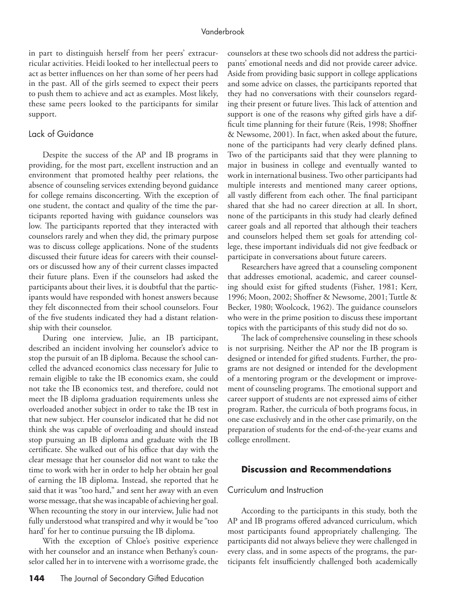in part to distinguish herself from her peers' extracurricular activities. Heidi looked to her intellectual peers to act as better influences on her than some of her peers had in the past. All of the girls seemed to expect their peers to push them to achieve and act as examples. Most likely, these same peers looked to the participants for similar support.

# Lack of Guidance

Despite the success of the AP and IB programs in providing, for the most part, excellent instruction and an environment that promoted healthy peer relations, the absence of counseling services extending beyond guidance for college remains disconcerting. With the exception of one student, the contact and quality of the time the participants reported having with guidance counselors was low. The participants reported that they interacted with counselors rarely and when they did, the primary purpose was to discuss college applications. None of the students discussed their future ideas for careers with their counselors or discussed how any of their current classes impacted their future plans. Even if the counselors had asked the participants about their lives, it is doubtful that the participants would have responded with honest answers because they felt disconnected from their school counselors. Four of the five students indicated they had a distant relationship with their counselor.

During one interview, Julie, an IB participant, described an incident involving her counselor's advice to stop the pursuit of an IB diploma. Because the school cancelled the advanced economics class necessary for Julie to remain eligible to take the IB economics exam, she could not take the IB economics test, and therefore, could not meet the IB diploma graduation requirements unless she overloaded another subject in order to take the IB test in that new subject. Her counselor indicated that he did not think she was capable of overloading and should instead stop pursuing an IB diploma and graduate with the IB certificate. She walked out of his office that day with the clear message that her counselor did not want to take the time to work with her in order to help her obtain her goal of earning the IB diploma. Instead, she reported that he said that it was "too hard," and sent her away with an even worse message, that she was incapable of achieving her goal. When recounting the story in our interview, Julie had not fully understood what transpired and why it would be "too hard' for her to continue pursuing the IB diploma.

With the exception of Chloe's positive experience with her counselor and an instance when Bethany's counselor called her in to intervene with a worrisome grade, the

counselors at these two schools did not address the participants' emotional needs and did not provide career advice. Aside from providing basic support in college applications and some advice on classes, the participants reported that they had no conversations with their counselors regarding their present or future lives. This lack of attention and support is one of the reasons why gifted girls have a difficult time planning for their future (Reis, 1998; Shoffner & Newsome, 2001). In fact, when asked about the future, none of the participants had very clearly defined plans. Two of the participants said that they were planning to major in business in college and eventually wanted to work in international business. Two other participants had multiple interests and mentioned many career options, all vastly different from each other. The final participant shared that she had no career direction at all. In short, none of the participants in this study had clearly defined career goals and all reported that although their teachers and counselors helped them set goals for attending college, these important individuals did not give feedback or participate in conversations about future careers.

Researchers have agreed that a counseling component that addresses emotional, academic, and career counseling should exist for gifted students (Fisher, 1981; Kerr, 1996; Moon, 2002; Shoffner & Newsome, 2001; Tuttle & Becker, 1980; Woolcock, 1962). The guidance counselors who were in the prime position to discuss these important topics with the participants of this study did not do so.

The lack of comprehensive counseling in these schools is not surprising. Neither the AP nor the IB program is designed or intended for gifted students. Further, the programs are not designed or intended for the development of a mentoring program or the development or improvement of counseling programs. The emotional support and career support of students are not expressed aims of either program. Rather, the curricula of both programs focus, in one case exclusively and in the other case primarily, on the preparation of students for the end-of-the-year exams and college enrollment.

# **Discussion and Recommendations**

# Curriculum and Instruction

According to the participants in this study, both the AP and IB programs offered advanced curriculum, which most participants found appropriately challenging. The participants did not always believe they were challenged in every class, and in some aspects of the programs, the participants felt insufficiently challenged both academically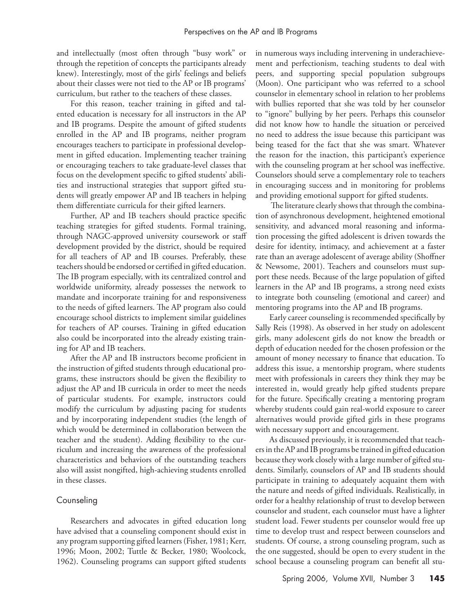and intellectually (most often through "busy work" or through the repetition of concepts the participants already knew). Interestingly, most of the girls' feelings and beliefs about their classes were not tied to the AP or IB programs' curriculum, but rather to the teachers of these classes.

For this reason, teacher training in gifted and talented education is necessary for all instructors in the AP and IB programs. Despite the amount of gifted students enrolled in the AP and IB programs, neither program encourages teachers to participate in professional development in gifted education. Implementing teacher training or encouraging teachers to take graduate-level classes that focus on the development specific to gifted students' abilities and instructional strategies that support gifted students will greatly empower AP and IB teachers in helping them differentiate curricula for their gifted learners.

Further, AP and IB teachers should practice specific teaching strategies for gifted students. Formal training, through NAGC-approved university coursework or staff development provided by the district, should be required for all teachers of AP and IB courses. Preferably, these teachers should be endorsed or certified in gifted education. The IB program especially, with its centralized control and worldwide uniformity, already possesses the network to mandate and incorporate training for and responsiveness to the needs of gifted learners. The AP program also could encourage school districts to implement similar guidelines for teachers of AP courses. Training in gifted education also could be incorporated into the already existing training for AP and IB teachers.

After the AP and IB instructors become proficient in the instruction of gifted students through educational programs, these instructors should be given the flexibility to adjust the AP and IB curricula in order to meet the needs of particular students. For example, instructors could modify the curriculum by adjusting pacing for students and by incorporating independent studies (the length of which would be determined in collaboration between the teacher and the student). Adding flexibility to the curriculum and increasing the awareness of the professional characteristics and behaviors of the outstanding teachers also will assist nongifted, high-achieving students enrolled in these classes.

#### Counseling

Researchers and advocates in gifted education long have advised that a counseling component should exist in any program supporting gifted learners (Fisher, 1981; Kerr, 1996; Moon, 2002; Tuttle & Becker, 1980; Woolcock, 1962). Counseling programs can support gifted students

in numerous ways including intervening in underachievement and perfectionism, teaching students to deal with peers, and supporting special population subgroups (Moon). One participant who was referred to a school counselor in elementary school in relation to her problems with bullies reported that she was told by her counselor to "ignore" bullying by her peers. Perhaps this counselor did not know how to handle the situation or perceived no need to address the issue because this participant was being teased for the fact that she was smart. Whatever the reason for the inaction, this participant's experience with the counseling program at her school was ineffective. Counselors should serve a complementary role to teachers in encouraging success and in monitoring for problems and providing emotional support for gifted students.

 The literature clearly shows that through the combination of asynchronous development, heightened emotional sensitivity, and advanced moral reasoning and information processing the gifted adolescent is driven towards the desire for identity, intimacy, and achievement at a faster rate than an average adolescent of average ability (Shoffner & Newsome, 2001). Teachers and counselors must support these needs. Because of the large population of gifted learners in the AP and IB programs, a strong need exists to integrate both counseling (emotional and career) and mentoring programs into the AP and IB programs.

Early career counseling is recommended specifically by Sally Reis (1998). As observed in her study on adolescent girls, many adolescent girls do not know the breadth or depth of education needed for the chosen profession or the amount of money necessary to finance that education. To address this issue, a mentorship program, where students meet with professionals in careers they think they may be interested in, would greatly help gifted students prepare for the future. Specifically creating a mentoring program whereby students could gain real-world exposure to career alternatives would provide gifted girls in these programs with necessary support and encouragement.

As discussed previously, it is recommended that teachers in the AP and IB programs be trained in gifted education because they work closely with a large number of gifted students. Similarly, counselors of AP and IB students should participate in training to adequately acquaint them with the nature and needs of gifted individuals. Realistically, in order for a healthy relationship of trust to develop between counselor and student, each counselor must have a lighter student load. Fewer students per counselor would free up time to develop trust and respect between counselors and students. Of course, a strong counseling program, such as the one suggested, should be open to every student in the school because a counseling program can benefit all stu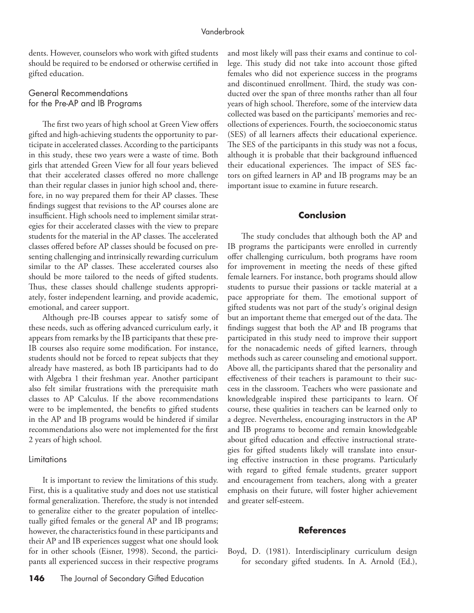dents. However, counselors who work with gifted students should be required to be endorsed or otherwise certified in gifted education.

# General Recommendations for the Pre-AP and IB Programs

The first two years of high school at Green View offers gifted and high-achieving students the opportunity to participate in accelerated classes. According to the participants in this study, these two years were a waste of time. Both girls that attended Green View for all four years believed that their accelerated classes offered no more challenge than their regular classes in junior high school and, therefore, in no way prepared them for their AP classes. These findings suggest that revisions to the AP courses alone are insufficient. High schools need to implement similar strategies for their accelerated classes with the view to prepare students for the material in the AP classes. The accelerated classes offered before AP classes should be focused on presenting challenging and intrinsically rewarding curriculum similar to the AP classes. These accelerated courses also should be more tailored to the needs of gifted students. Thus, these classes should challenge students appropriately, foster independent learning, and provide academic, emotional, and career support.

Although pre-IB courses appear to satisfy some of these needs, such as offering advanced curriculum early, it appears from remarks by the IB participants that these pre-IB courses also require some modification. For instance, students should not be forced to repeat subjects that they already have mastered, as both IB participants had to do with Algebra 1 their freshman year. Another participant also felt similar frustrations with the prerequisite math classes to AP Calculus. If the above recommendations were to be implemented, the benefits to gifted students in the AP and IB programs would be hindered if similar recommendations also were not implemented for the first 2 years of high school.

#### **Limitations**

It is important to review the limitations of this study. First, this is a qualitative study and does not use statistical formal generalization. Therefore, the study is not intended to generalize either to the greater population of intellectually gifted females or the general AP and IB programs; however, the characteristics found in these participants and their AP and IB experiences suggest what one should look for in other schools (Eisner, 1998). Second, the participants all experienced success in their respective programs

and most likely will pass their exams and continue to college. This study did not take into account those gifted females who did not experience success in the programs and discontinued enrollment. Third, the study was conducted over the span of three months rather than all four years of high school. Therefore, some of the interview data collected was based on the participants' memories and recollections of experiences. Fourth, the socioeconomic status (SES) of all learners affects their educational experience. The SES of the participants in this study was not a focus, although it is probable that their background influenced their educational experiences. The impact of SES factors on gifted learners in AP and IB programs may be an important issue to examine in future research.

# **Conclusion**

The study concludes that although both the AP and IB programs the participants were enrolled in currently offer challenging curriculum, both programs have room for improvement in meeting the needs of these gifted female learners. For instance, both programs should allow students to pursue their passions or tackle material at a pace appropriate for them. The emotional support of gifted students was not part of the study's original design but an important theme that emerged out of the data. The findings suggest that both the AP and IB programs that participated in this study need to improve their support for the nonacademic needs of gifted learners, through methods such as career counseling and emotional support. Above all, the participants shared that the personality and effectiveness of their teachers is paramount to their success in the classroom. Teachers who were passionate and knowledgeable inspired these participants to learn. Of course, these qualities in teachers can be learned only to a degree. Nevertheless, encouraging instructors in the AP and IB programs to become and remain knowledgeable about gifted education and effective instructional strategies for gifted students likely will translate into ensuring effective instruction in these programs. Particularly with regard to gifted female students, greater support and encouragement from teachers, along with a greater emphasis on their future, will foster higher achievement and greater self-esteem.

#### **References**

Boyd, D. (1981). Interdisciplinary curriculum design for secondary gifted students. In A. Arnold (Ed.),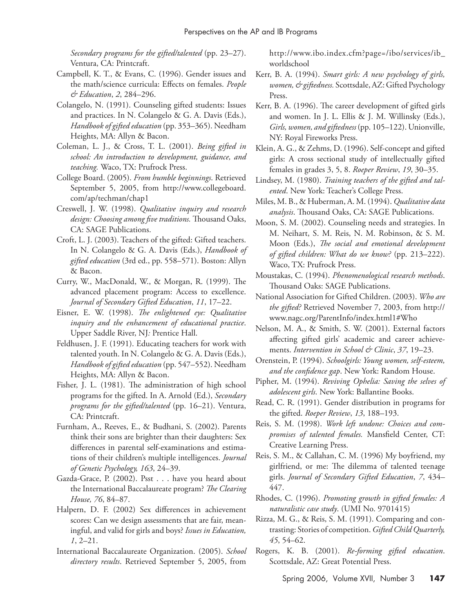*Secondary programs for the gifted/talented* (pp. 23–27). Ventura, CA: Printcraft.

- Campbell, K. T., & Evans, C. (1996). Gender issues and the math/science curricula: Effects on females. *People & Education*, *2*, 284–296.
- Colangelo, N. (1991). Counseling gifted students: Issues and practices. In N. Colangelo & G. A. Davis (Eds.), *Handbook of gifted education* (pp. 353–365). Needham Heights, MA: Allyn & Bacon.
- Coleman, L. J., & Cross, T. L. (2001). *Being gifted in school: An introduction to development, guidance, and teaching.* Waco, TX: Prufrock Press.
- College Board. (2005). *From humble beginnings*. Retrieved September 5, 2005, from http://www.collegeboard. com/ap/techman/chap1
- Creswell, J. W. (1998). *Qualitative inquiry and research design: Choosing among five traditions.* Thousand Oaks, CA: SAGE Publications.
- Croft, L. J. (2003). Teachers of the gifted: Gifted teachers. In N. Colangelo & G. A. Davis (Eds.), *Handbook of gifted education* (3rd ed., pp. 558–571). Boston: Allyn & Bacon.
- Curry, W., MacDonald, W., & Morgan, R. (1999). The advanced placement program: Access to excellence. *Journal of Secondary Gifted Education*, *11*, 17–22.
- Eisner, E. W. (1998). *The enlightened eye: Qualitative inquiry and the enhancement of educational practice*. Upper Saddle River, NJ*:* Prentice Hall.
- Feldhusen, J. F. (1991). Educating teachers for work with talented youth. In N. Colangelo & G. A. Davis (Eds.), *Handbook of gifted education* (pp. 547–552). Needham Heights, MA: Allyn & Bacon.
- Fisher, J. L. (1981). The administration of high school programs for the gifted. In A. Arnold (Ed.), *Secondary programs for the gifted/talented* (pp. 16–21). Ventura, CA: Printcraft.
- Furnham, A., Reeves, E., & Budhani, S. (2002). Parents think their sons are brighter than their daughters: Sex differences in parental self-examinations and estimations of their children's multiple intelligences. *Journal of Genetic Psychology, 163*, 24–39.
- Gazda-Grace, P. (2002). Psst . . . have you heard about the International Baccalaureate program? *The Clearing House, 76*, 84–87.
- Halpern, D. F. (2002) Sex differences in achievement scores: Can we design assessments that are fair, meaningful, and valid for girls and boys? *Issues in Education, 1*, 2–21.
- International Baccalaureate Organization. (2005). *School directory results*. Retrieved September 5, 2005, from

http://www.ibo.index.cfm?page=/ibo/services/ib\_ worldschool

- Kerr, B. A. (1994). *Smart girls: A new psychology of girls, women, & giftedness.* Scottsdale, AZ: Gifted Psychology Press.
- Kerr, B. A. (1996). The career development of gifted girls and women. In J. L. Ellis & J. M. Willinsky (Eds.), *Girls, women, and giftedness* (pp. 105–122). Unionville, NY: Royal Fireworks Press.
- Klein, A. G., & Zehms, D. (1996). Self-concept and gifted girls: A cross sectional study of intellectually gifted females in grades 3, 5, 8. *Roeper Review*, *19*, 30–35.
- Lindsey, M. (1980). *Training teachers of the gifted and talented*. New York: Teacher's College Press.
- Miles, M. B., & Huberman, A. M. (1994). *Qualitative data analysis*. Thousand Oaks, CA: SAGE Publications.
- Moon, S. M. (2002). Counseling needs and strategies. In M. Neihart, S. M. Reis, N. M. Robinson, & S. M. Moon (Eds.), *The social and emotional development of gifted children: What do we know?* (pp. 213–222). Waco, TX: Prufrock Press.
- Moustakas, C. (1994). *Phenomenological research methods*. Thousand Oaks: SAGE Publications.
- National Association for Gifted Children. (2003). *Who are the gifted?* Retrieved November 7, 2003, from http:// www.nagc.org/ParentInfo/index.html1#Who
- Nelson, M. A., & Smith, S. W. (2001). External factors affecting gifted girls' academic and career achievements. *Intervention in School & Clinic*, *37*, 19–23.
- Orenstein, P. (1994). *Schoolgirls: Young women, self-esteem, and the confidence gap*. New York: Random House.
- Pipher, M. (1994). *Reviving Ophelia: Saving the selves of adolescent girls*. New York: Ballantine Books.
- Read, C. R. (1991). Gender distribution in programs for the gifted. *Roeper Review*, *13*, 188–193.
- Reis, S. M. (1998). *Work left undone: Choices and compromises of talented females.* Mansfield Center, CT: Creative Learning Press.
- Reis, S. M., & Callahan, C. M. (1996) My boyfriend, my girlfriend, or me: The dilemma of talented teenage girls. *Journal of Secondary Gifted Education*, *7*, 434– 447.
- Rhodes, C. (1996). *Promoting growth in gifted females: A naturalistic case study*. (UMI No. 9701415)
- Rizza, M. G., & Reis, S. M. (1991). Comparing and contrasting: Stories of competition. *Gifted Child Quarterly, 45*, 54–62.
- Rogers, K. B. (2001). *Re-forming gifted education*. Scottsdale, AZ: Great Potential Press.